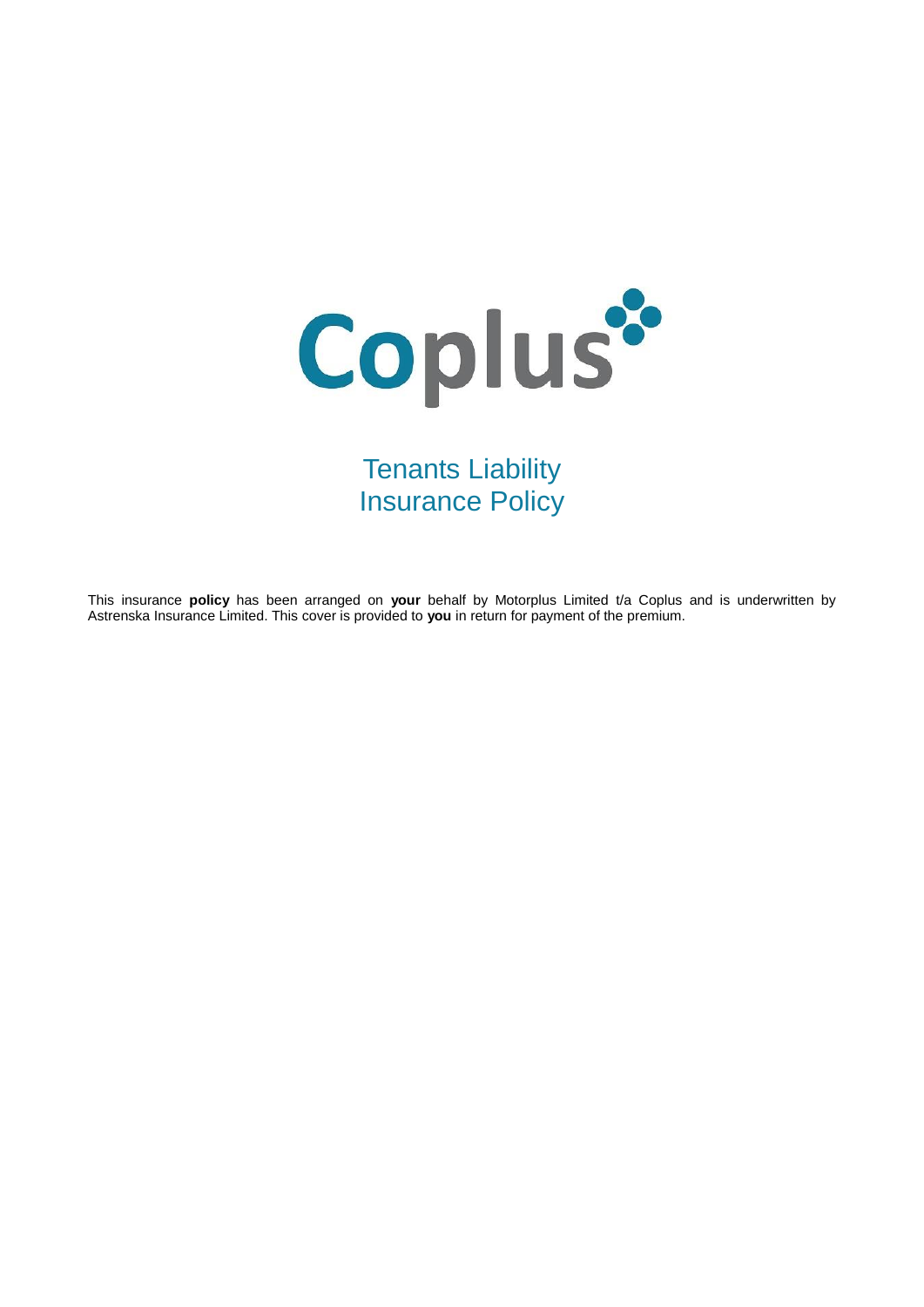

Tenants Liability Insurance Policy

This insurance **policy** has been arranged on **your** behalf by Motorplus Limited t/a Coplus and is underwritten by Astrenska Insurance Limited. This cover is provided to **you** in return for payment of the premium.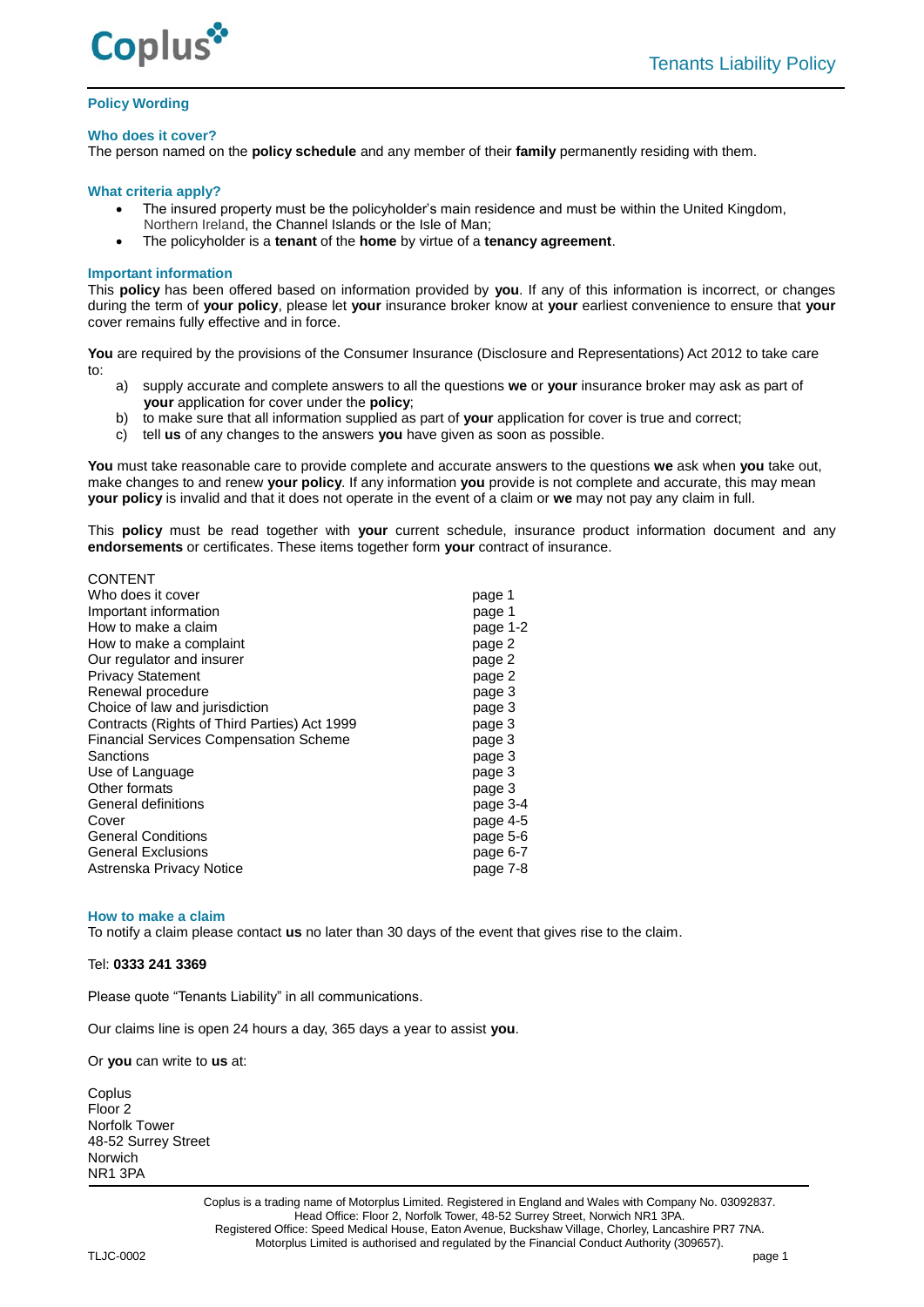

# **Policy Wording**

### **Who does it cover?**

The person named on the **policy schedule** and any member of their **family** permanently residing with them.

## **What criteria apply?**

- The insured property must be the policyholder's main residence and must be within the United Kingdom, Northern Ireland, the Channel Islands or the Isle of Man;
- The policyholder is a **tenant** of the **home** by virtue of a **tenancy agreement**.

## **Important information**

This **policy** has been offered based on information provided by **you**. If any of this information is incorrect, or changes during the term of **your policy**, please let **your** insurance broker know at **your** earliest convenience to ensure that **your** cover remains fully effective and in force.

**You** are required by the provisions of the Consumer Insurance (Disclosure and Representations) Act 2012 to take care to:

- a) supply accurate and complete answers to all the questions **we** or **your** insurance broker may ask as part of **your** application for cover under the **policy**;
- b) to make sure that all information supplied as part of **your** application for cover is true and correct;
- c) tell **us** of any changes to the answers **you** have given as soon as possible.

**You** must take reasonable care to provide complete and accurate answers to the questions **we** ask when **you** take out, make changes to and renew **your policy**. If any information **you** provide is not complete and accurate, this may mean **your policy** is invalid and that it does not operate in the event of a claim or **we** may not pay any claim in full.

This **policy** must be read together with **your** current schedule, insurance product information document and any **endorsements** or certificates. These items together form **your** contract of insurance.

| <b>CONTENT</b>                                |          |
|-----------------------------------------------|----------|
| Who does it cover                             | page 1   |
| Important information                         | page 1   |
| How to make a claim                           | page 1-2 |
| How to make a complaint                       | page 2   |
| Our regulator and insurer                     | page 2   |
| <b>Privacy Statement</b>                      | page 2   |
| Renewal procedure                             | page 3   |
| Choice of law and jurisdiction                | page 3   |
| Contracts (Rights of Third Parties) Act 1999  | page 3   |
| <b>Financial Services Compensation Scheme</b> | page 3   |
| Sanctions                                     | page 3   |
| Use of Language                               | page 3   |
| Other formats                                 | page 3   |
| General definitions                           | page 3-4 |
| Cover                                         | page 4-5 |
| <b>General Conditions</b>                     | page 5-6 |
| <b>General Exclusions</b>                     | page 6-7 |
| Astrenska Privacy Notice                      | page 7-8 |

#### **How to make a claim**

To notify a claim please contact **us** no later than 30 days of the event that gives rise to the claim.

# Tel: **0333 241 3369**

Please quote "Tenants Liability" in all communications.

Our claims line is open 24 hours a day, 365 days a year to assist **you**.

Or **you** can write to **us** at:

**Coplus** Floor<sub>2</sub> Norfolk Tower 48-52 Surrey Street Norwich NR1 3PA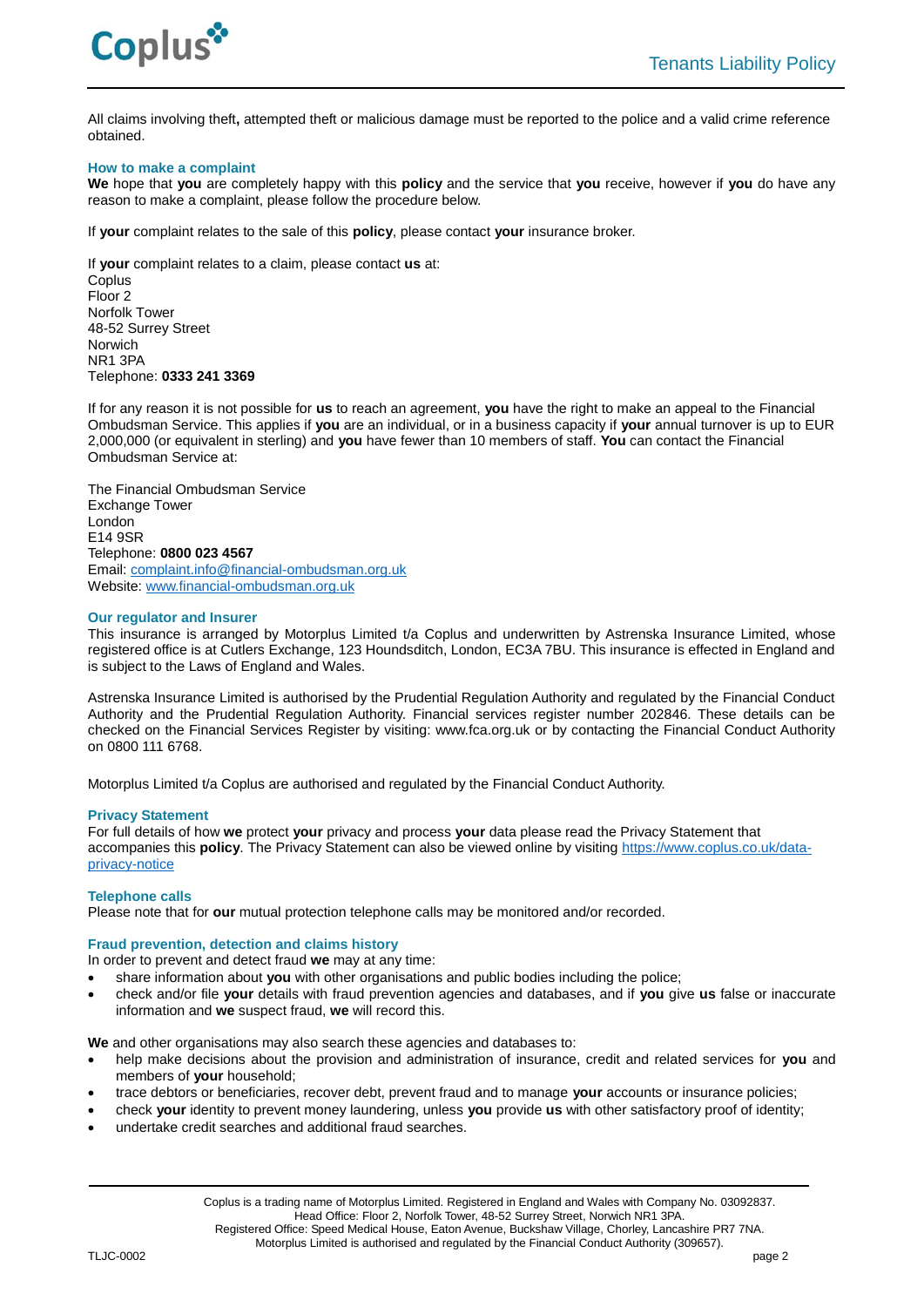

All claims involving theft**,** attempted theft or malicious damage must be reported to the police and a valid crime reference obtained.

### **How to make a complaint**

**We** hope that **you** are completely happy with this **policy** and the service that **you** receive, however if **you** do have any reason to make a complaint, please follow the procedure below.

If **your** complaint relates to the sale of this **policy**, please contact **your** insurance broker.

If **your** complaint relates to a claim, please contact **us** at: **Coplus** Floor 2 Norfolk Tower 48-52 Surrey Street Norwich NR1 3PA Telephone: **0333 241 3369**

If for any reason it is not possible for **us** to reach an agreement, **you** have the right to make an appeal to the Financial Ombudsman Service. This applies if **you** are an individual, or in a business capacity if **your** annual turnover is up to EUR 2,000,000 (or equivalent in sterling) and **you** have fewer than 10 members of staff. **You** can contact the Financial Ombudsman Service at:

The Financial Ombudsman Service Exchange Tower London E14 9SR Telephone: **0800 023 4567** Email: [complaint.info@financial-ombudsman.org.uk](mailto:complaint.info@financial-ombudsman.org.uk) Website: [www.financial-ombudsman.org.uk](http://www.financial-ombudsman.org.uk/)

### **Our regulator and Insurer**

This insurance is arranged by Motorplus Limited t/a Coplus and underwritten by Astrenska Insurance Limited, whose registered office is at Cutlers Exchange, 123 Houndsditch, London, EC3A 7BU. This insurance is effected in England and is subject to the Laws of England and Wales.

Astrenska Insurance Limited is authorised by the Prudential Regulation Authority and regulated by the Financial Conduct Authority and the Prudential Regulation Authority. Financial services register number 202846. These details can be checked on the Financial Services Register by visiting: www.fca.org.uk or by contacting the Financial Conduct Authority on 0800 111 6768.

Motorplus Limited t/a Coplus are authorised and regulated by the Financial Conduct Authority.

### **Privacy Statement**

For full details of how **we** protect **your** privacy and process **your** data please read the Privacy Statement that accompanies this **policy**. The Privacy Statement can also be viewed online by visiting [https://www.coplus.co.uk/data](https://www.coplus.co.uk/data-privacy-notice/)[privacy-notice](https://www.coplus.co.uk/data-privacy-notice/)

### **Telephone calls**

Please note that for **our** mutual protection telephone calls may be monitored and/or recorded.

### **Fraud prevention, detection and claims history**

In order to prevent and detect fraud **we** may at any time:

- share information about **you** with other organisations and public bodies including the police;
- check and/or file **your** details with fraud prevention agencies and databases, and if **you** give **us** false or inaccurate information and **we** suspect fraud, **we** will record this.

**We** and other organisations may also search these agencies and databases to:

- help make decisions about the provision and administration of insurance, credit and related services for **you** and members of **your** household;
- trace debtors or beneficiaries, recover debt, prevent fraud and to manage **your** accounts or insurance policies;
- check **your** identity to prevent money laundering, unless **you** provide **us** with other satisfactory proof of identity;
- undertake credit searches and additional fraud searches.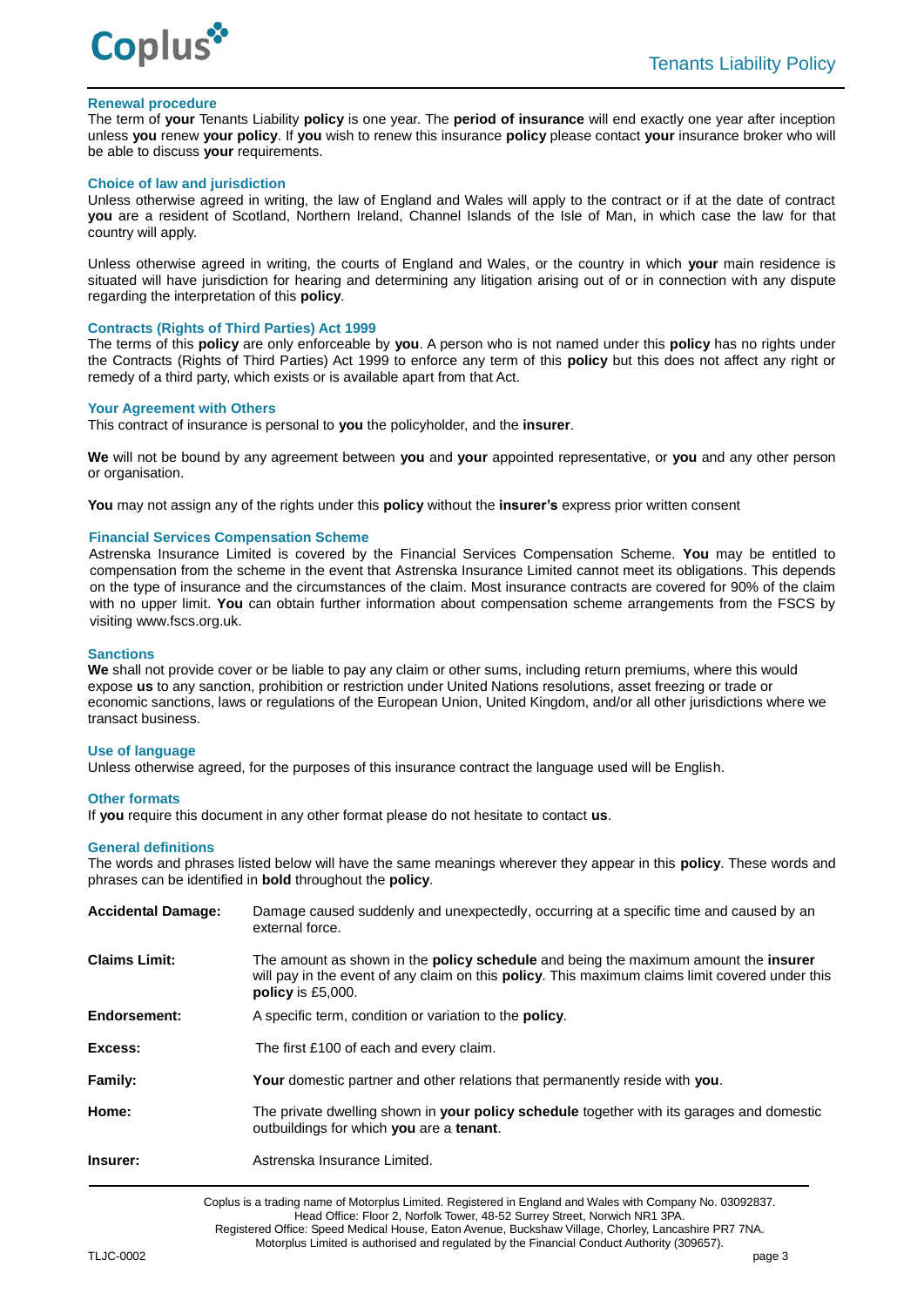

## **Renewal procedure**

The term of **your** Tenants Liability **policy** is one year. The **period of insurance** will end exactly one year after inception unless **you** renew **your policy**. If **you** wish to renew this insurance **policy** please contact **your** insurance broker who will be able to discuss **your** requirements.

### **Choice of law and jurisdiction**

Unless otherwise agreed in writing, the law of England and Wales will apply to the contract or if at the date of contract **you** are a resident of Scotland, Northern Ireland, Channel Islands of the Isle of Man, in which case the law for that country will apply.

Unless otherwise agreed in writing, the courts of England and Wales, or the country in which **your** main residence is situated will have jurisdiction for hearing and determining any litigation arising out of or in connection with any dispute regarding the interpretation of this **policy**.

### **Contracts (Rights of Third Parties) Act 1999**

The terms of this **policy** are only enforceable by **you**. A person who is not named under this **policy** has no rights under the Contracts (Rights of Third Parties) Act 1999 to enforce any term of this **policy** but this does not affect any right or remedy of a third party, which exists or is available apart from that Act.

### **Your Agreement with Others**

This contract of insurance is personal to **you** the policyholder, and the **insurer**.

**We** will not be bound by any agreement between **you** and **your** appointed representative, or **you** and any other person or organisation.

**You** may not assign any of the rights under this **policy** without the **insurer's** express prior written consent

## **Financial Services Compensation Scheme**

Astrenska Insurance Limited is covered by the Financial Services Compensation Scheme. **You** may be entitled to compensation from the scheme in the event that Astrenska Insurance Limited cannot meet its obligations. This depends on the type of insurance and the circumstances of the claim. Most insurance contracts are covered for 90% of the claim with no upper limit. **You** can obtain further information about compensation scheme arrangements from the FSCS by visiting www.fscs.org.uk.

## **Sanctions**

**We** shall not provide cover or be liable to pay any claim or other sums, including return premiums, where this would expose **us** to any sanction, prohibition or restriction under United Nations resolutions, asset freezing or trade or economic sanctions, laws or regulations of the European Union, United Kingdom, and/or all other jurisdictions where we transact business.

### **Use of language**

Unless otherwise agreed, for the purposes of this insurance contract the language used will be English.

#### **Other formats**

If **you** require this document in any other format please do not hesitate to contact **us**.

### **General definitions**

The words and phrases listed below will have the same meanings wherever they appear in this **policy**. These words and phrases can be identified in **bold** throughout the **policy**.

| <b>Accidental Damage:</b> | Damage caused suddenly and unexpectedly, occurring at a specific time and caused by an<br>external force.                                                                                                                            |
|---------------------------|--------------------------------------------------------------------------------------------------------------------------------------------------------------------------------------------------------------------------------------|
| <b>Claims Limit:</b>      | The amount as shown in the <b>policy schedule</b> and being the maximum amount the <b>insurer</b><br>will pay in the event of any claim on this <b>policy</b> . This maximum claims limit covered under this<br>policy is $£5,000$ . |
| Endorsement:              | A specific term, condition or variation to the <b>policy</b> .                                                                                                                                                                       |
| Excess:                   | The first £100 of each and every claim.                                                                                                                                                                                              |
| Family:                   | Your domestic partner and other relations that permanently reside with you.                                                                                                                                                          |
| Home:                     | The private dwelling shown in <b>your policy schedule</b> together with its garages and domestic<br>outbuildings for which you are a tenant.                                                                                         |
| Insurer:                  | Astrenska Insurance Limited.                                                                                                                                                                                                         |

Coplus is a trading name of Motorplus Limited. Registered in England and Wales with Company No. 03092837. Head Office: Floor 2, Norfolk Tower, 48-52 Surrey Street, Norwich NR1 3PA. Registered Office: Speed Medical House, Eaton Avenue, Buckshaw Village, Chorley, Lancashire PR7 7NA. Motorplus Limited is authorised and regulated by the Financial Conduct Authority (309657).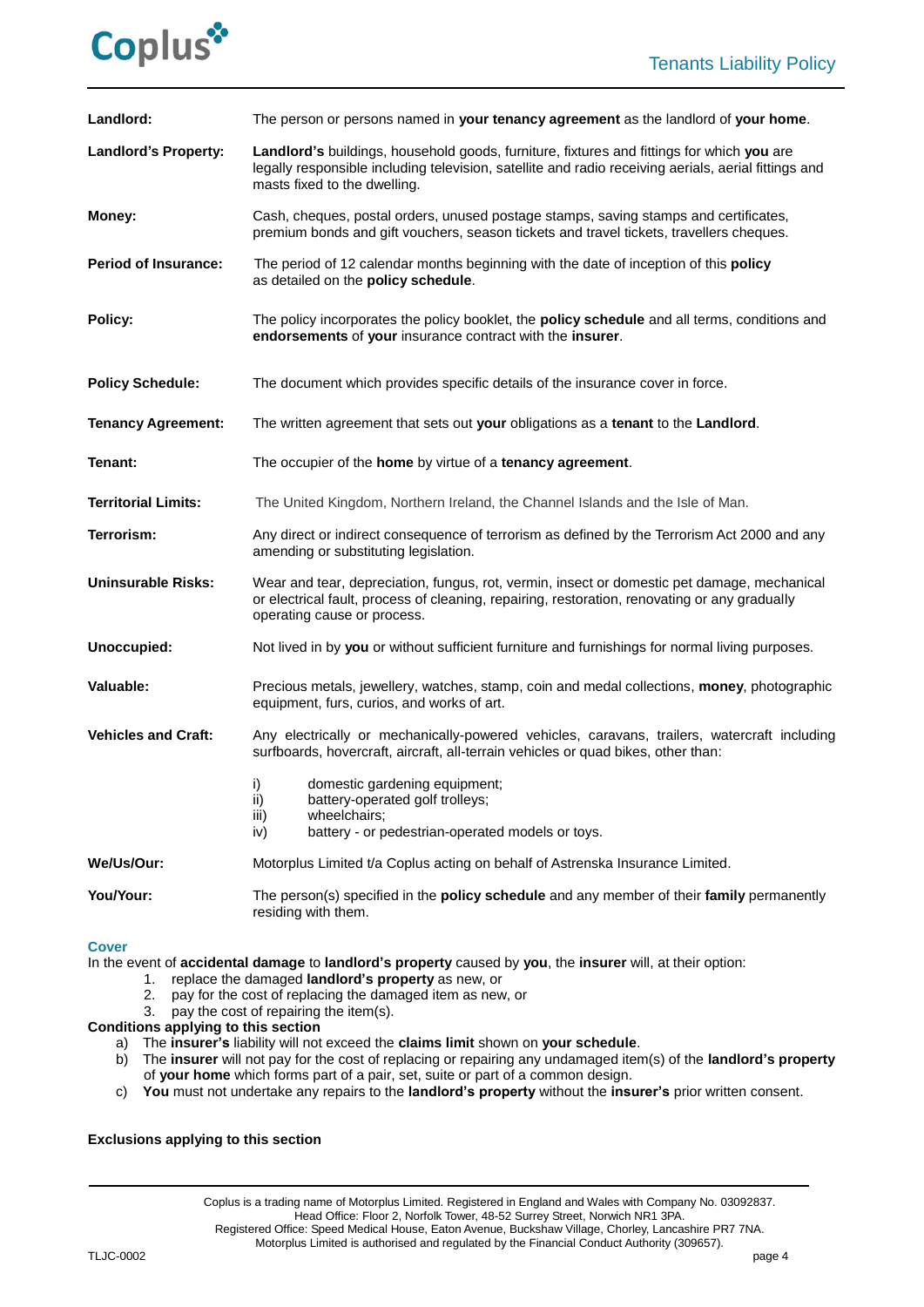

| Landlord:                   | The person or persons named in your tenancy agreement as the landlord of your home.                                                                                                                                               |
|-----------------------------|-----------------------------------------------------------------------------------------------------------------------------------------------------------------------------------------------------------------------------------|
| <b>Landlord's Property:</b> | Landlord's buildings, household goods, furniture, fixtures and fittings for which you are<br>legally responsible including television, satellite and radio receiving aerials, aerial fittings and<br>masts fixed to the dwelling. |
| Money:                      | Cash, cheques, postal orders, unused postage stamps, saving stamps and certificates,<br>premium bonds and gift vouchers, season tickets and travel tickets, travellers cheques.                                                   |
| <b>Period of Insurance:</b> | The period of 12 calendar months beginning with the date of inception of this policy<br>as detailed on the policy schedule.                                                                                                       |
| Policy:                     | The policy incorporates the policy booklet, the <b>policy schedule</b> and all terms, conditions and<br>endorsements of your insurance contract with the insurer.                                                                 |
| <b>Policy Schedule:</b>     | The document which provides specific details of the insurance cover in force.                                                                                                                                                     |
| <b>Tenancy Agreement:</b>   | The written agreement that sets out your obligations as a tenant to the Landlord.                                                                                                                                                 |
| Tenant:                     | The occupier of the home by virtue of a tenancy agreement.                                                                                                                                                                        |
| <b>Territorial Limits:</b>  | The United Kingdom, Northern Ireland, the Channel Islands and the Isle of Man.                                                                                                                                                    |
| Terrorism:                  | Any direct or indirect consequence of terrorism as defined by the Terrorism Act 2000 and any<br>amending or substituting legislation.                                                                                             |
| <b>Uninsurable Risks:</b>   | Wear and tear, depreciation, fungus, rot, vermin, insect or domestic pet damage, mechanical<br>or electrical fault, process of cleaning, repairing, restoration, renovating or any gradually<br>operating cause or process.       |
| Unoccupied:                 | Not lived in by you or without sufficient furniture and furnishings for normal living purposes.                                                                                                                                   |
| Valuable:                   | Precious metals, jewellery, watches, stamp, coin and medal collections, money, photographic<br>equipment, furs, curios, and works of art.                                                                                         |
| <b>Vehicles and Craft:</b>  | Any electrically or mechanically-powered vehicles, caravans, trailers, watercraft including<br>surfboards, hovercraft, aircraft, all-terrain vehicles or quad bikes, other than:                                                  |
|                             | domestic gardening equipment;<br>i)<br>battery-operated golf trolleys;<br>ii)<br>iii)<br>wheelchairs;<br>iv)<br>battery - or pedestrian-operated models or toys.                                                                  |
| We/Us/Our:                  | Motorplus Limited t/a Coplus acting on behalf of Astrenska Insurance Limited.                                                                                                                                                     |
| You/Your:                   | The person(s) specified in the <b>policy schedule</b> and any member of their family permanently<br>residing with them.                                                                                                           |

# **Cover**

In the event of **accidental damage** to **landlord's property** caused by **you**, the **insurer** will, at their option:

- 1. replace the damaged **landlord's property** as new, or
- 2. pay for the cost of replacing the damaged item as new, or 3. pay the cost of repairing the item(s).
- pay the cost of repairing the item(s).

# **Conditions applying to this section**

- a) The **insurer's** liability will not exceed the **claims limit** shown on **your schedule**.
- b) The **insurer** will not pay for the cost of replacing or repairing any undamaged item(s) of the **landlord's property** of **your home** which forms part of a pair, set, suite or part of a common design.
- c) **You** must not undertake any repairs to the **landlord's property** without the **insurer's** prior written consent.

# **Exclusions applying to this section**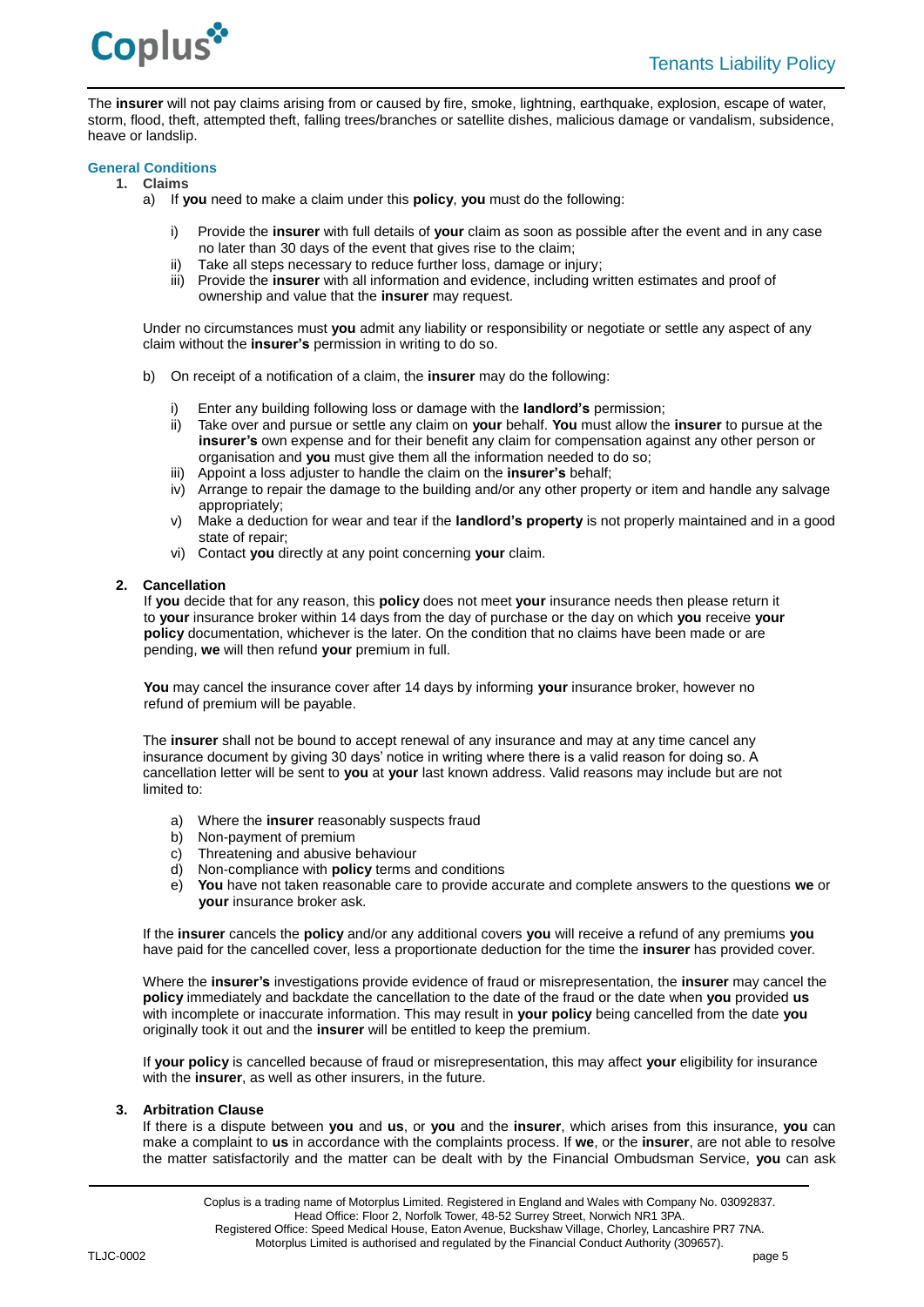

The **insurer** will not pay claims arising from or caused by fire, smoke, lightning, earthquake, explosion, escape of water, storm, flood, theft, attempted theft, falling trees/branches or satellite dishes, malicious damage or vandalism, subsidence, heave or landslip.

# **General Conditions**

### **1. Claims**

- a) If **you** need to make a claim under this **policy**, **you** must do the following:
	- i) Provide the **insurer** with full details of **your** claim as soon as possible after the event and in any case no later than 30 days of the event that gives rise to the claim;
	- ii) Take all steps necessary to reduce further loss, damage or injury;
	- iii) Provide the **insurer** with all information and evidence, including written estimates and proof of ownership and value that the **insurer** may request.

Under no circumstances must **you** admit any liability or responsibility or negotiate or settle any aspect of any claim without the **insurer's** permission in writing to do so.

- b) On receipt of a notification of a claim, the **insurer** may do the following:
	- i) Enter any building following loss or damage with the **landlord's** permission;
	- ii) Take over and pursue or settle any claim on **your** behalf. **You** must allow the **insurer** to pursue at the **insurer's** own expense and for their benefit any claim for compensation against any other person or organisation and **you** must give them all the information needed to do so;
	- iii) Appoint a loss adjuster to handle the claim on the **insurer's** behalf;
	- iv) Arrange to repair the damage to the building and/or any other property or item and handle any salvage appropriately;
	- v) Make a deduction for wear and tear if the **landlord's property** is not properly maintained and in a good state of repair;
	- vi) Contact **you** directly at any point concerning **your** claim.

## **2. Cancellation**

If **you** decide that for any reason, this **policy** does not meet **your** insurance needs then please return it to **your** insurance broker within 14 days from the day of purchase or the day on which **you** receive **your policy** documentation, whichever is the later. On the condition that no claims have been made or are pending, **we** will then refund **your** premium in full.

**You** may cancel the insurance cover after 14 days by informing **your** insurance broker, however no refund of premium will be payable.

The **insurer** shall not be bound to accept renewal of any insurance and may at any time cancel any insurance document by giving 30 days' notice in writing where there is a valid reason for doing so. A cancellation letter will be sent to **you** at **your** last known address. Valid reasons may include but are not limited to:

- a) Where the **insurer** reasonably suspects fraud
- b) Non-payment of premium
- c) Threatening and abusive behaviour
- d) Non-compliance with **policy** terms and conditions
- e) **You** have not taken reasonable care to provide accurate and complete answers to the questions **we** or **your** insurance broker ask.

If the **insurer** cancels the **policy** and/or any additional covers **you** will receive a refund of any premiums **you** have paid for the cancelled cover, less a proportionate deduction for the time the **insurer** has provided cover.

Where the **insurer's** investigations provide evidence of fraud or misrepresentation, the **insurer** may cancel the **policy** immediately and backdate the cancellation to the date of the fraud or the date when **you** provided **us** with incomplete or inaccurate information. This may result in **your policy** being cancelled from the date **you** originally took it out and the **insurer** will be entitled to keep the premium.

If **your policy** is cancelled because of fraud or misrepresentation, this may affect **your** eligibility for insurance with the **insurer**, as well as other insurers, in the future.

#### **3. Arbitration Clause**

If there is a dispute between **you** and **us**, or **you** and the **insurer**, which arises from this insurance, **you** can make a complaint to **us** in accordance with the complaints process. If **we**, or the **insurer**, are not able to resolve the matter satisfactorily and the matter can be dealt with by the Financial Ombudsman Service, **you** can ask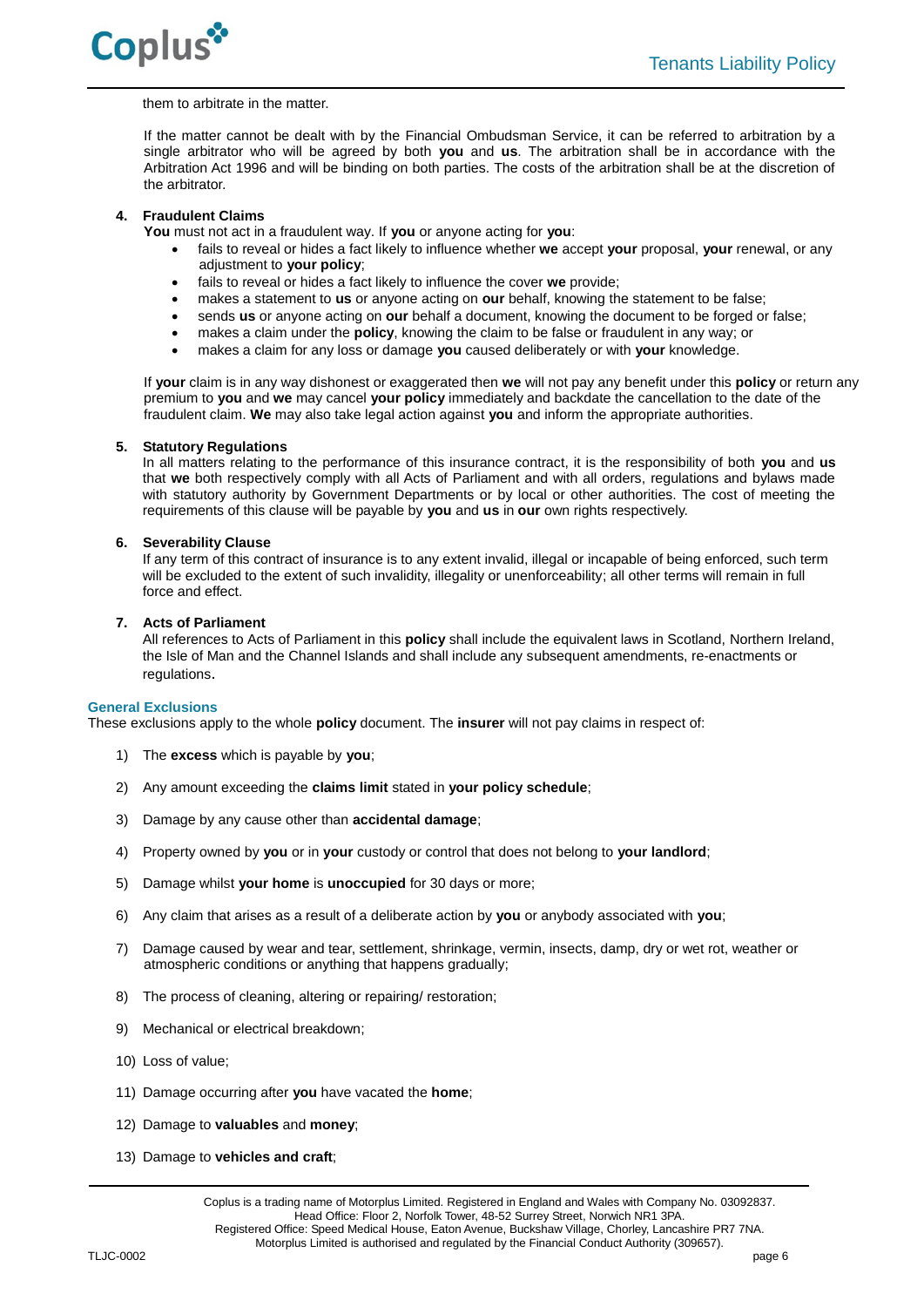

### them to arbitrate in the matter.

If the matter cannot be dealt with by the Financial Ombudsman Service, it can be referred to arbitration by a single arbitrator who will be agreed by both **you** and **us**. The arbitration shall be in accordance with the Arbitration Act 1996 and will be binding on both parties. The costs of the arbitration shall be at the discretion of the arbitrator.

# **4. Fraudulent Claims**

**You** must not act in a fraudulent way. If **you** or anyone acting for **you**:

- fails to reveal or hides a fact likely to influence whether **we** accept **your** proposal, **your** renewal, or any adjustment to **your policy**;
- fails to reveal or hides a fact likely to influence the cover **we** provide;
- makes a statement to **us** or anyone acting on **our** behalf, knowing the statement to be false;
- sends **us** or anyone acting on **our** behalf a document, knowing the document to be forged or false;
- makes a claim under the **policy**, knowing the claim to be false or fraudulent in any way; or
- makes a claim for any loss or damage **you** caused deliberately or with **your** knowledge.

If **your** claim is in any way dishonest or exaggerated then **we** will not pay any benefit under this **policy** or return any premium to **you** and **we** may cancel **your policy** immediately and backdate the cancellation to the date of the fraudulent claim. **We** may also take legal action against **you** and inform the appropriate authorities.

### **5. Statutory Regulations**

In all matters relating to the performance of this insurance contract, it is the responsibility of both **you** and **us** that **we** both respectively comply with all Acts of Parliament and with all orders, regulations and bylaws made with statutory authority by Government Departments or by local or other authorities. The cost of meeting the requirements of this clause will be payable by **you** and **us** in **our** own rights respectively.

### **6. Severability Clause**

If any term of this contract of insurance is to any extent invalid, illegal or incapable of being enforced, such term will be excluded to the extent of such invalidity, illegality or unenforceability; all other terms will remain in full force and effect.

### **7. Acts of Parliament**

All references to Acts of Parliament in this **policy** shall include the equivalent laws in Scotland, Northern Ireland, the Isle of Man and the Channel Islands and shall include any subsequent amendments, re-enactments or regulations.

## **General Exclusions**

These exclusions apply to the whole **policy** document. The **insurer** will not pay claims in respect of:

- 1) The **excess** which is payable by **you**;
- 2) Any amount exceeding the **claims limit** stated in **your policy schedule**;
- 3) Damage by any cause other than **accidental damage**;
- 4) Property owned by **you** or in **your** custody or control that does not belong to **your landlord**;
- 5) Damage whilst **your home** is **unoccupied** for 30 days or more;
- 6) Any claim that arises as a result of a deliberate action by **you** or anybody associated with **you**;
- 7) Damage caused by wear and tear, settlement, shrinkage, vermin, insects, damp, dry or wet rot, weather or atmospheric conditions or anything that happens gradually;
- 8) The process of cleaning, altering or repairing/ restoration;
- 9) Mechanical or electrical breakdown;
- 10) Loss of value;
- 11) Damage occurring after **you** have vacated the **home**;
- 12) Damage to **valuables** and **money**;
- 13) Damage to **vehicles and craft**;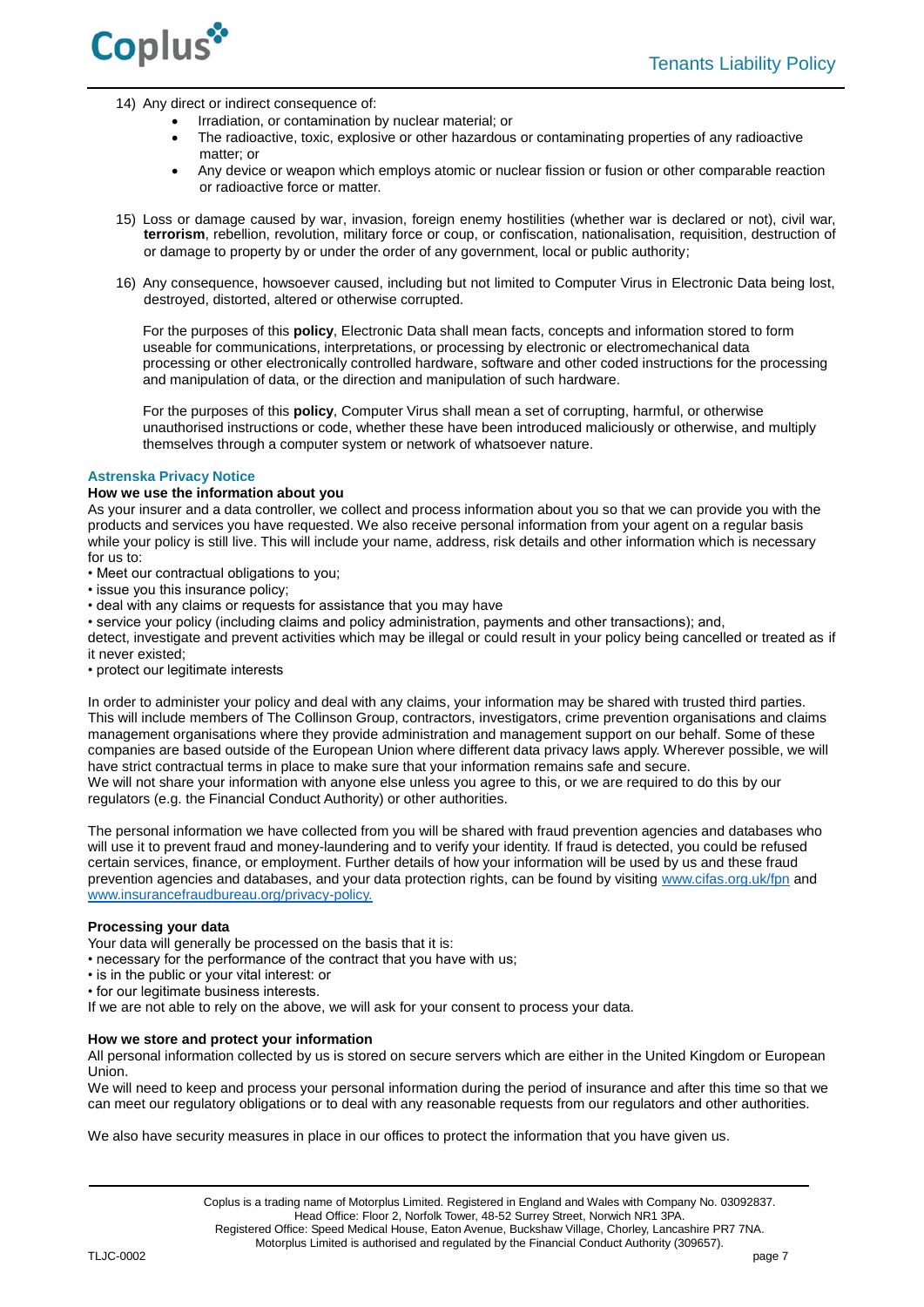

- 14) Any direct or indirect consequence of:
	- Irradiation, or contamination by nuclear material; or
	- The radioactive, toxic, explosive or other hazardous or contaminating properties of any radioactive matter; or
	- Any device or weapon which employs atomic or nuclear fission or fusion or other comparable reaction or radioactive force or matter.
- 15) Loss or damage caused by war, invasion, foreign enemy hostilities (whether war is declared or not), civil war, **terrorism**, rebellion, revolution, military force or coup, or confiscation, nationalisation, requisition, destruction of or damage to property by or under the order of any government, local or public authority;
- 16) Any consequence, howsoever caused, including but not limited to Computer Virus in Electronic Data being lost, destroyed, distorted, altered or otherwise corrupted.

For the purposes of this **policy**, Electronic Data shall mean facts, concepts and information stored to form useable for communications, interpretations, or processing by electronic or electromechanical data processing or other electronically controlled hardware, software and other coded instructions for the processing and manipulation of data, or the direction and manipulation of such hardware.

For the purposes of this **policy**, Computer Virus shall mean a set of corrupting, harmful, or otherwise unauthorised instructions or code, whether these have been introduced maliciously or otherwise, and multiply themselves through a computer system or network of whatsoever nature.

## **Astrenska Privacy Notice**

# **How we use the information about you**

As your insurer and a data controller, we collect and process information about you so that we can provide you with the products and services you have requested. We also receive personal information from your agent on a regular basis while your policy is still live. This will include your name, address, risk details and other information which is necessary for us to:

- Meet our contractual obligations to you;
- issue you this insurance policy;
- deal with any claims or requests for assistance that you may have

• service your policy (including claims and policy administration, payments and other transactions); and, detect, investigate and prevent activities which may be illegal or could result in your policy being cancelled or treated as if it never existed;

• protect our legitimate interests

In order to administer your policy and deal with any claims, your information may be shared with trusted third parties. This will include members of The Collinson Group, contractors, investigators, crime prevention organisations and claims management organisations where they provide administration and management support on our behalf. Some of these companies are based outside of the European Union where different data privacy laws apply. Wherever possible, we will have strict contractual terms in place to make sure that your information remains safe and secure. We will not share your information with anyone else unless you agree to this, or we are required to do this by our regulators (e.g. the Financial Conduct Authority) or other authorities.

The personal information we have collected from you will be shared with fraud prevention agencies and databases who will use it to prevent fraud and money-laundering and to verify your identity. If fraud is detected, you could be refused certain services, finance, or employment. Further details of how your information will be used by us and these fraud prevention agencies and databases, and your data protection rights, can be found by visiting [www.cifas.org.uk/fpn](../../../../Commercial/Ops%20forms%20&%20Check%20lists/Check%20lists/Templates/www.cifas.org.uk/fpn) and [www.insurancefraudbureau.org/privacy-policy.](http://www.insurancefraudbureau.org/privacy-policy)

# **Processing your data**

Your data will generally be processed on the basis that it is:

- necessary for the performance of the contract that you have with us;
- is in the public or your vital interest: or
- for our legitimate business interests.

If we are not able to rely on the above, we will ask for your consent to process your data.

## **How we store and protect your information**

All personal information collected by us is stored on secure servers which are either in the United Kingdom or European Union.

We will need to keep and process your personal information during the period of insurance and after this time so that we can meet our regulatory obligations or to deal with any reasonable requests from our regulators and other authorities.

We also have security measures in place in our offices to protect the information that you have given us.